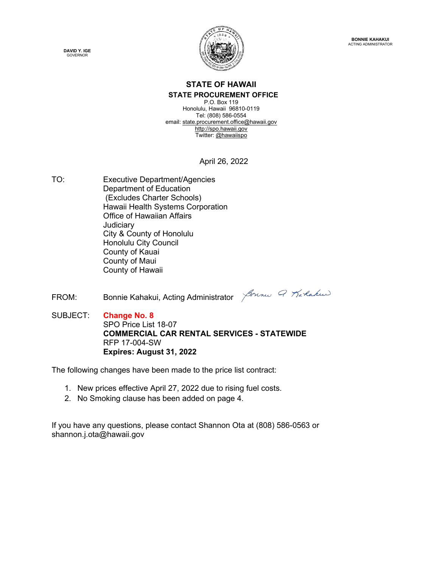

## **STATE OF HAWAII STATE PROCUREMENT OFFICE**

P.O. Box 119 Honolulu, Hawaii 96810-0119 Tel: (808) 586-0554 email[: state.procurement.office@hawaii.gov](mailto:state.procurement.office@hawaii.gov) [http://spo.hawaii.gov](http://spo.hawaii.gov/) Twitter: [@hawaiispo](https://twitter.com/hawaiispo)

April 26, 2022

- TO: Executive Department/Agencies Department of Education (Excludes Charter Schools) Hawaii Health Systems Corporation Office of Hawaiian Affairs **Judiciary** City & County of Honolulu Honolulu City Council County of Kauai County of Maui County of Hawaii
- FROM: Bonnie Kahakui, Acting Administrator *Johne G. Karlaku*



SUBJECT: **Change No. 8** SPO Price List 18-07 **COMMERCIAL CAR RENTAL SERVICES - STATEWIDE** RFP 17-004-SW **Expires: August 31, 2022**

The following changes have been made to the price list contract:

- 1. New prices effective April 27, 2022 due to rising fuel costs.
- 2. No Smoking clause has been added on page 4.

If you have any questions, please contact Shannon Ota at (808) 586-0563 or shannon.j.ota@hawaii.gov

**DAVID Y. IGE** GOVERNOR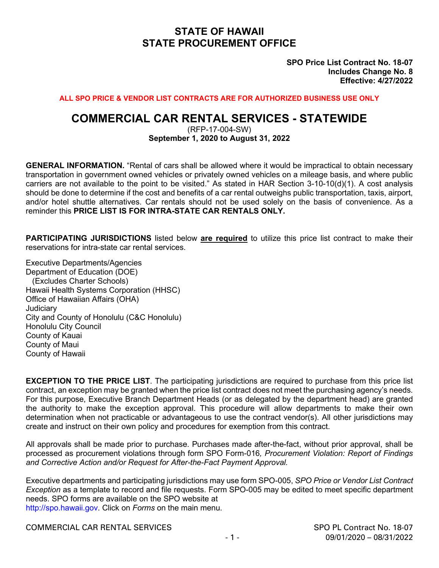## **STATE OF HAWAII STATE PROCUREMENT OFFICE**

**SPO Price List Contract No. 18-07 Includes Change No. 8 Effective: 4/27/2022**

**ALL SPO PRICE & VENDOR LIST CONTRACTS ARE FOR AUTHORIZED BUSINESS USE ONLY**

## **COMMERCIAL CAR RENTAL SERVICES - STATEWIDE**

(RFP-17-004-SW) **September 1, 2020 to August 31, 2022**

**GENERAL INFORMATION.** "Rental of cars shall be allowed where it would be impractical to obtain necessary transportation in government owned vehicles or privately owned vehicles on a mileage basis, and where public carriers are not available to the point to be visited." As stated in HAR Section 3-10-10(d)(1). A cost analysis should be done to determine if the cost and benefits of a car rental outweighs public transportation, taxis, airport, and/or hotel shuttle alternatives. Car rentals should not be used solely on the basis of convenience. As a reminder this **PRICE LIST IS FOR INTRA-STATE CAR RENTALS ONLY.**

**PARTICIPATING JURISDICTIONS** listed below **are required** to utilize this price list contract to make their reservations for intra-state car rental services.

Executive Departments/Agencies Department of Education (DOE) (Excludes Charter Schools) Hawaii Health Systems Corporation (HHSC) Office of Hawaiian Affairs (OHA) **Judiciary** City and County of Honolulu (C&C Honolulu) Honolulu City Council County of Kauai County of Maui County of Hawaii

**EXCEPTION TO THE PRICE LIST**. The participating jurisdictions are required to purchase from this price list contract, an exception may be granted when the price list contract does not meet the purchasing agency's needs. For this purpose, Executive Branch Department Heads (or as delegated by the department head) are granted the authority to make the exception approval. This procedure will allow departments to make their own determination when not practicable or advantageous to use the contract vendor(s). All other jurisdictions may create and instruct on their own policy and procedures for exemption from this contract.

All approvals shall be made prior to purchase. Purchases made after-the-fact, without prior approval, shall be processed as procurement violations through form SPO Form-016*, Procurement Violation: Report of Findings and Corrective Action and/or Request for After-the-Fact Payment Approval.*

Executive departments and participating jurisdictions may use form SPO-005, *SPO Price or Vendor List Contract Exception* as a template to record and file requests. Form SPO-005 may be edited to meet specific department needs. SPO forms are available on the SPO website at http://spo.hawaii.gov. Click on *Forms* on the main menu.

COMMERCIAL CAR RENTAL SERVICES SPO PL Contract No. 18-07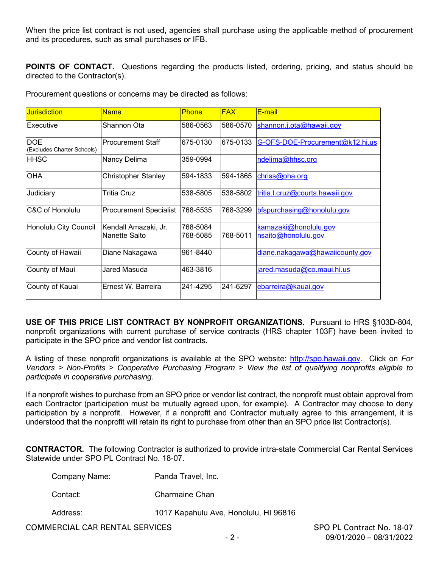When the price list contract is not used, agencies shall purchase using the applicable method of procurement and its procedures, such as small purchases or IFB.

**POINTS OF CONTACT.** Questions regarding the products listed, ordering, pricing, and status should be directed to the Contractor(s).

Procurement questions or concerns may be directed as follows:

| <b>Jurisdiction</b>                      | <b>Name</b>                           | <b>Phone</b>         | <b>FAX</b> | E-mail                                       |
|------------------------------------------|---------------------------------------|----------------------|------------|----------------------------------------------|
| Executive                                | Shannon Ota                           | 586-0563             | l586-0570  | shannon.j.ota@hawaii.gov                     |
| <b>DOE</b><br>(Excludes Charter Schools) | <b>Procurement Staff</b>              | 675-0130             | 675-0133   | G-OFS-DOE-Procurement@k12.hi.us              |
| <b>HHSC</b>                              | Nancy Delima                          | 359-0994             |            | ndelima@hhsc.org                             |
| <b>OHA</b>                               | <b>Christopher Stanley</b>            | 594-1833             | 1594-1865  | chriss@oha.org                               |
| Judiciary                                | Tritia Cruz                           | 538-5805             | 538-5802   | tritia.l.cruz@courts.hawaii.gov              |
| IC&C of Honolulu                         | <b>Procurement Specialist</b>         | 768-5535             | 768-3299   | bfspurchasing@honolulu.gov                   |
| Honolulu City Council                    | Kendall Amazaki, Jr.<br>Nanette Saito | 768-5084<br>768-5085 | 768-5011   | kamazaki@honolulu.gov<br>nsaito@honolulu.gov |
| County of Hawaii                         | Diane Nakagawa                        | 961-8440             |            | diane.nakagawa@hawaiicounty.gov              |
| County of Maui                           | Jared Masuda                          | 463-3816             |            | jared.masuda@co.maui.hi.us                   |
| County of Kauai                          | Ernest W. Barreira                    | 241-4295             | 241-6297   | ebarreira@kauai.gov                          |

**USE OF THIS PRICE LIST CONTRACT BY NONPROFIT ORGANIZATIONS.** Pursuant to HRS §103D-804, nonprofit organizations with current purchase of service contracts (HRS chapter 103F) have been invited to participate in the SPO price and vendor list contracts.

A listing of these nonprofit organizations is available at the SPO website: [http://spo.hawaii.gov.](http://spo.hawaii.gov/) Click on *For Vendors > Non-Profits > Cooperative Purchasing Program > View the list of qualifying nonprofits eligible to participate in cooperative purchasing.*

If a nonprofit wishes to purchase from an SPO price or vendor list contract, the nonprofit must obtain approval from each Contractor (participation must be mutually agreed upon, for example). A Contractor may choose to deny participation by a nonprofit. However, if a nonprofit and Contractor mutually agree to this arrangement, it is understood that the nonprofit will retain its right to purchase from other than an SPO price list Contractor(s).

**CONTRACTOR.** The following Contractor is authorized to provide intra-state Commercial Car Rental Services Statewide under SPO PL Contract No. 18-07.

| Company Name: | Panda Travel, Inc. |
|---------------|--------------------|
|               |                    |

- Contact: Charmaine Chan
- Address: 1017 Kapahulu Ave, Honolulu, HI 96816

COMMERCIAL CAR RENTAL SERVICES SPO PL Contract No. 18-07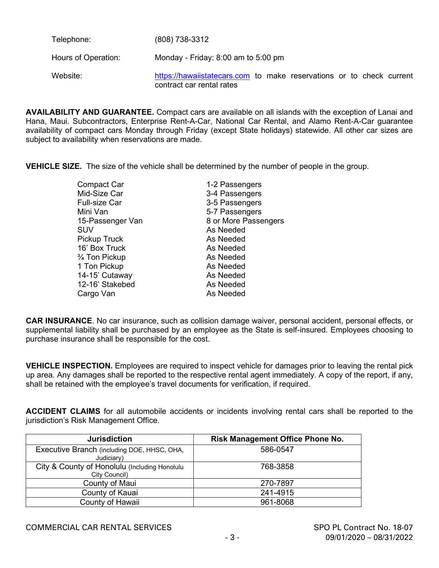| Telephone:          | (808) 738-3312                                                                                    |
|---------------------|---------------------------------------------------------------------------------------------------|
| Hours of Operation: | Monday - Friday: 8:00 am to 5:00 pm                                                               |
| Website:            | https://hawaiistatecars.com to make reservations or to check current<br>contract car rental rates |

**AVAILABILITY AND GUARANTEE.** Compact cars are available on all islands with the exception of Lanai and Hana, Maui. Subcontractors, Enterprise Rent-A-Car, National Car Rental, and Alamo Rent-A-Car guarantee availability of compact cars Monday through Friday (except State holidays) statewide. All other car sizes are subject to availability when reservations are made.

**VEHICLE SIZE.** The size of the vehicle shall be determined by the number of people in the group.

| <b>Compact Car</b>   | 1-2 Passengers       |
|----------------------|----------------------|
| Mid-Size Car         | 3-4 Passengers       |
| <b>Full-size Car</b> | 3-5 Passengers       |
| Mini Van             | 5-7 Passengers       |
| 15-Passenger Van     | 8 or More Passengers |
| <b>SUV</b>           | As Needed            |
| <b>Pickup Truck</b>  | As Needed            |
| 16' Box Truck        | As Needed            |
| 3/4 Ton Pickup       | As Needed            |
| 1 Ton Pickup         | As Needed            |
| 14-15' Cutaway       | As Needed            |
| 12-16' Stakebed      | As Needed            |
| Cargo Van            | As Needed            |
|                      |                      |

**CAR INSURANCE**. No car insurance, such as collision damage waiver, personal accident, personal effects, or supplemental liability shall be purchased by an employee as the State is self-insured. Employees choosing to purchase insurance shall be responsible for the cost.

**VEHICLE INSPECTION.** Employees are required to inspect vehicle for damages prior to leaving the rental pick up area. Any damages shall be reported to the respective rental agent immediately. A copy of the report, if any, shall be retained with the employee's travel documents for verification, if required.

**ACCIDENT CLAIMS** for all automobile accidents or incidents involving rental cars shall be reported to the jurisdiction's Risk Management Office.

| <b>Jurisdiction</b>                                            | <b>Risk Management Office Phone No.</b> |
|----------------------------------------------------------------|-----------------------------------------|
| Executive Branch (including DOE, HHSC, OHA,<br>Judiciary)      | 586-0547                                |
| City & County of Honolulu (Including Honolulu<br>City Council) | 768-3858                                |
| County of Maui                                                 | 270-7897                                |
| County of Kauai                                                | 241-4915                                |
| County of Hawaii                                               | 961-8068                                |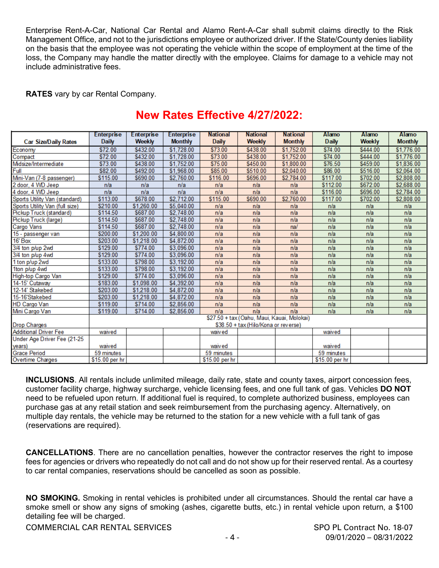Enterprise Rent-A-Car, National Car Rental and Alamo Rent-A-Car shall submit claims directly to the Risk Management Office, and not to the jurisdictions employee or authorized driver. If the State/County denies liability on the basis that the employee was not operating the vehicle within the scope of employment at the time of the loss, the Company may handle the matter directly with the employee. Claims for damage to a vehicle may not include administrative fees.

**RATES** vary by car Rental Company.

|                                | <b>Enterprise</b>                          | <b>Enterprise</b> | <b>Enterprise</b> | <b>National</b> | <b>National</b> | <b>National</b> | Alamo          | <b>Alamo</b> | Alamo          |
|--------------------------------|--------------------------------------------|-------------------|-------------------|-----------------|-----------------|-----------------|----------------|--------------|----------------|
| <b>Car Size/Daily Rates</b>    | <b>Daily</b>                               | Weekly            | <b>Monthly</b>    | <b>Daily</b>    | <b>Weekly</b>   | <b>Monthly</b>  | <b>Daily</b>   | Weekly       | <b>Monthly</b> |
| Economy                        | \$72.00                                    | \$432.00          | \$1,728.00        | \$73.00         | \$438.00        | \$1,752.00      | \$74.00        | \$444.00     | \$1,776.00     |
| Compact                        | \$72.00                                    | \$432.00          | \$1,728.00        | \$73.00         | \$438.00        | \$1,752.00      | \$74.00        | \$444.00     | \$1,776.00     |
| Midsize/Intermediate           | \$73.00                                    | \$438.00          | \$1,752.00        | \$75.00         | \$450.00        | \$1,800.00      | \$76.50        | \$459.00     | \$1,836.00     |
| Full                           | \$82.00                                    | \$492.00          | \$1,968.00        | \$85.00         | \$510.00        | \$2,040.00      | \$86.00        | \$516.00     | \$2,064.00     |
| Mini-Van (7-8 passenger)       | \$115.00                                   | \$690.00          | \$2,760.00        | \$116.00        | \$696.00        | \$2,784.00      | \$117.00       | \$702.00     | \$2,808.00     |
| 2 door, 4 WD Jeep              | n/a                                        | n/a               | n/a               | n/a             | n/a             | n/a             | \$112.00       | \$672.00     | \$2,688.00     |
| 4 door, 4 WD Jeep              | n/a                                        | n/a               | n/a               | n/a             | n/a             | n/a             | \$116.00       | \$696.00     | \$2,784.00     |
| Sports Utility Van (standard)  | \$113.00                                   | \$678.00          | \$2,712.00        | \$115.00        | \$690.00        | \$2,760.00      | \$117.00       | \$702.00     | \$2,808.00     |
| Sports Utility Van (full size) | \$210.00                                   | \$1,260.00        | \$5,040.00        | n/a             | n/a             | n/a             | n/a            | n/a          | n/a            |
| Pickup Truck (standard)        | \$114.50                                   | \$687.00          | \$2,748.00        | n/a             | n/a             | n/a             | n/a            | n/a          | n/a            |
| Pickup Truck (large)           | \$114.50                                   | \$687.00          | \$2,748.00        | n/a             | n/a             | n/a             | n/a            | n/a          | n/a            |
| Cargo Vans                     | \$114.50                                   | \$687.00          | \$2,748.00        | n/a             | n/a             | na/             | n/a            | n/a          | n/a            |
| 15 - passenger van             | \$200.00                                   | \$1,200.00        | \$4,800.00        | n/a             | n/a             | n/a             | n/a            | n/a          | n/a            |
| $16'$ Box                      | \$203.00                                   | \$1,218.00        | \$4,872.00        | n/a             | n/a             | n/a             | n/a            | n/a          | n/a            |
| 3/4 ton p/up 2wd               | \$129.00                                   | \$774.00          | \$3.096.00        | n/a             | n/a             | n/a             | n/a            | n/a          | n/a            |
| 3/4 ton p/up 4wd               | \$129.00                                   | \$774.00          | \$3,096.00        | n/a             | n/a             | n/a             | n/a            | n/a          | n/a            |
| 1 ton p/up 2wd                 | \$133.00                                   | \$798.00          | \$3,192.00        | n/a             | n/a             | n/a             | n/a            | n/a          | n/a            |
| 1ton p/up 4wd                  | \$133.00                                   | \$798.00          | \$3,192.00        | n/a             | n/a             | n/a             | n/a            | n/a          | n/a            |
| High-top Cargo Van             | \$129.00                                   | \$774.00          | \$3,096.00        | n/a             | n/a             | n/a             | n/a            | n/a          | n/a            |
| 14-15' Cutaway                 | \$183.00                                   | \$1,098.00        | \$4.392.00        | n/a             | n/a             | n/a             | n/a            | n/a          | n/a            |
| 12-14' Stakebed                | \$203.00                                   | \$1,218.00        | \$4,872.00        | n/a             | n/a             | n/a             | n/a            | n/a          | n/a            |
| 15-16'Stakebed                 | \$203.00                                   | \$1,218.00        | \$4,872.00        | n/a             | n/a             | n/a             | n/a            | n/a          | n/a            |
| HD Cargo Van                   | \$119.00                                   | \$714.00          | \$2,856.00        | n/a             | n/a             | n/a             | n/a            | n/a          | n/a            |
| Mini Cargo Van                 | \$119.00                                   | \$714.00          | \$2,856.00        | n/a             | n/a             | n/a             | n/a            | n/a          | n/a            |
|                                | \$27.50 + tax (Oahu, Maui, Kauai, Molokai) |                   |                   |                 |                 |                 |                |              |                |
| Drop Charges                   | \$38.50 + tax (Hilo/Kona or reverse)       |                   |                   |                 |                 |                 |                |              |                |
| <b>Additional Driver Fee</b>   | waived                                     |                   |                   | waiv ed         |                 |                 | waived         |              |                |
| Under Age Driver Fee (21-25    |                                            |                   |                   |                 |                 |                 |                |              |                |
| years)                         | waived                                     |                   |                   | waiv ed         |                 |                 | waived         |              |                |
| <b>Grace Period</b>            | 59 minutes                                 |                   |                   | 59 minutes      |                 |                 | 59 minutes     |              |                |
| Overtime Charges               | \$15.00 per hr                             |                   |                   | \$15.00 per hr  |                 |                 | \$15.00 per hr |              |                |

## **New Rates Effective 4/27/2022:**

**INCLUSIONS**. All rentals include unlimited mileage, daily rate, state and county taxes, airport concession fees, customer facility charge, highway surcharge, vehicle licensing fees, and one full tank of gas. Vehicles **DO NOT**  need to be refueled upon return. If additional fuel is required, to complete authorized business, employees can purchase gas at any retail station and seek reimbursement from the purchasing agency. Alternatively, on multiple day rentals, the vehicle may be returned to the station for a new vehicle with a full tank of gas (reservations are required).

**CANCELLATIONS**. There are no cancellation penalties, however the contractor reserves the right to impose fees for agencies or drivers who repeatedly do not call and do not show up for their reserved rental. As a courtesy to car rental companies, reservations should be cancelled as soon as possible.

**NO SMOKING.** Smoking in rental vehicles is prohibited under all circumstances. Should the rental car have a smoke smell or show any signs of smoking (ashes, cigarette butts, etc.) in rental vehicle upon return, a \$100 detailing fee will be charged.

COMMERCIAL CAR RENTAL SERVICES SPO PL Contract No. 18-07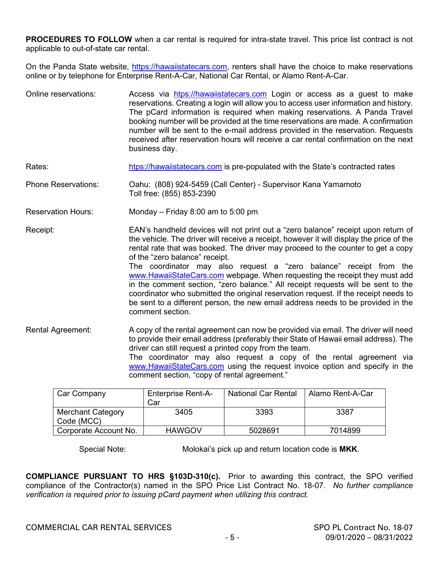**PROCEDURES TO FOLLOW** when a car rental is required for intra-state travel. This price list contract is not applicable to out-of-state car rental.

On the Panda State website, [https://hawaiistatecars.com,](https://hawaiistatecars.com/) renters shall have the choice to make reservations online or by telephone for Enterprise Rent-A-Car, National Car Rental, or Alamo Rent-A-Car.

- Online reservations: Access via [htps://hawaiistatecars.com](htps://hawaiistatecars.com/) Login or access as a guest to make reservations. Creating a login will allow you to access user information and history. The pCard information is required when making reservations. A Panda Travel booking number will be provided at the time reservations are made. A confirmation number will be sent to the e-mail address provided in the reservation. Requests received after reservation hours will receive a car rental confirmation on the next business day.
- Rates: [htps://hawaiistatecars.com](htps://hawaiistatecars.com/) is pre-populated with the State's contracted rates
- Phone Reservations: Oahu: (808) 924-5459 (Call Center) Supervisor Kana Yamamoto Toll free: (855) 853-2390
- Reservation Hours: Monday Friday 8:00 am to 5:00 pm

Receipt: EAN's handheld devices will not print out a "zero balance" receipt upon return of the vehicle. The driver will receive a receipt, however it will display the price of the rental rate that was booked. The driver may proceed to the counter to get a copy of the "zero balance" receipt.

The coordinator may also request a "zero balance" receipt from the [www.HawaiiStateCars.com](http://www.hawaiistatecars.com/) webpage. When requesting the receipt they must add in the comment section, "zero balance." All receipt requests will be sent to the coordinator who submitted the original reservation request. If the receipt needs to be sent to a different person, the new email address needs to be provided in the comment section.

Rental Agreement: A copy of the rental agreement can now be provided via email. The driver will need to provide their email address (preferably their State of Hawaii email address). The driver can still request a printed copy from the team. The coordinator may also request a copy of the rental agreement via [www.HawaiiStateCars.com](http://www.hawaiistatecars.com/) using the request invoice option and specify in the comment section, "copy of rental agreement."

| Car Company                            | <b>Enterprise Rent-A-</b><br>Car | <b>National Car Rental</b> | Alamo Rent-A-Car |
|----------------------------------------|----------------------------------|----------------------------|------------------|
| <b>Merchant Category</b><br>Code (MCC) | 3405                             | 3393                       | 3387             |
| Corporate Account No.                  | <b>HAWGOV</b>                    | 5028691                    | 7014899          |

Special Note: Molokai's pick up and return location code is **MKK**.

**COMPLIANCE PURSUANT TO HRS §103D-310(c).** Prior to awarding this contract, the SPO verified compliance of the Contractor(s) named in the SPO Price List Contract No. 18-07. *No further compliance verification is required prior to issuing pCard payment when utilizing this contract.*